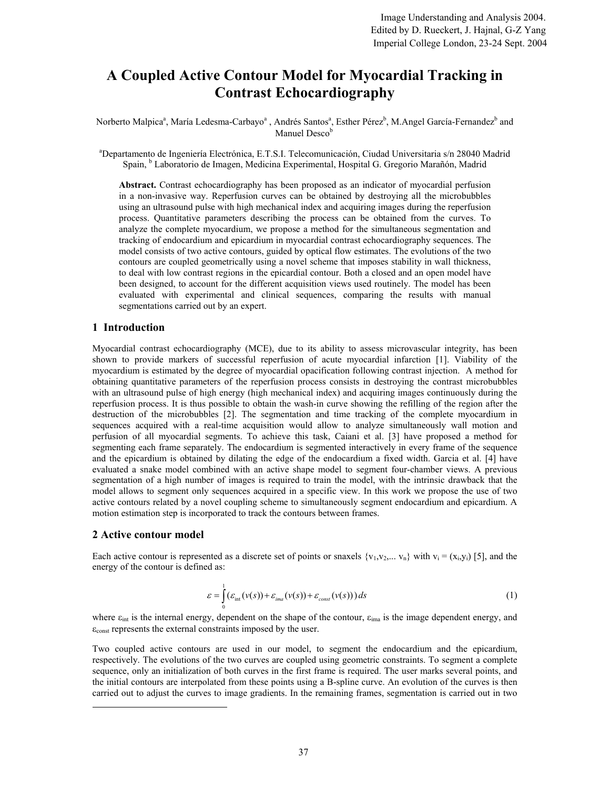# **A Coupled Active Contour Model for Myocardial Tracking in Contrast Echocardiography**

Norberto Malpica<sup>a</sup>, María Ledesma-Carbayo<sup>a</sup>, Andrés Santos<sup>a</sup>, Esther Pérez<sup>b</sup>, M.Angel García-Fernandez<sup>b</sup> and Manuel Desco<sup>b</sup>

a Departamento de Ingeniería Electrónica, E.T.S.I. Telecomunicación, Ciudad Universitaria s/n 28040 Madrid Spain, <sup>b</sup> Laboratorio de Imagen, Medicina Experimental, Hospital G. Gregorio Marañón, Madrid

**Abstract.** Contrast echocardiography has been proposed as an indicator of myocardial perfusion in a non-invasive way. Reperfusion curves can be obtained by destroying all the microbubbles using an ultrasound pulse with high mechanical index and acquiring images during the reperfusion process. Quantitative parameters describing the process can be obtained from the curves. To analyze the complete myocardium, we propose a method for the simultaneous segmentation and tracking of endocardium and epicardium in myocardial contrast echocardiography sequences. The model consists of two active contours, guided by optical flow estimates. The evolutions of the two contours are coupled geometrically using a novel scheme that imposes stability in wall thickness, to deal with low contrast regions in the epicardial contour. Both a closed and an open model have been designed, to account for the different acquisition views used routinely. The model has been evaluated with experimental and clinical sequences, comparing the results with manual segmentations carried out by an expert.

# **1 Introduction**

Myocardial contrast echocardiography (MCE), due to its ability to assess microvascular integrity, has been shown to provide markers of successful reperfusion of acute myocardial infarction [1]. Viability of the myocardium is estimated by the degree of myocardial opacification following contrast injection. A method for obtaining quantitative parameters of the reperfusion process consists in destroying the contrast microbubbles with an ultrasound pulse of high energy (high mechanical index) and acquiring images continuously during the reperfusion process. It is thus possible to obtain the wash-in curve showing the refilling of the region after the destruction of the microbubbles [2]. The segmentation and time tracking of the complete myocardium in sequences acquired with a real-time acquisition would allow to analyze simultaneously wall motion and perfusion of all myocardial segments. To achieve this task, Caiani et al. [3] have proposed a method for segmenting each frame separately. The endocardium is segmented interactively in every frame of the sequence and the epicardium is obtained by dilating the edge of the endocardium a fixed width. Garcia et al. [4] have evaluated a snake model combined with an active shape model to segment four-chamber views. A previous segmentation of a high number of images is required to train the model, with the intrinsic drawback that the model allows to segment only sequences acquired in a specific view. In this work we propose the use of two active contours related by a novel coupling scheme to simultaneously segment endocardium and epicardium. A motion estimation step is incorporated to track the contours between frames.

# **2 Active contour model**

 $\overline{a}$ 

Each active contour is represented as a discrete set of points or snaxels  $\{v_1, v_2, \ldots, v_n\}$  with  $v_i = (x_i, y_i)$  [5], and the energy of the contour is defined as:

$$
\varepsilon = \int_{0}^{1} (\varepsilon_{\text{int}}(\nu(s)) + \varepsilon_{\text{ima}}(\nu(s)) + \varepsilon_{\text{const}}(\nu(s))) ds
$$
 (1)

where  $\varepsilon_{\text{int}}$  is the internal energy, dependent on the shape of the contour,  $\varepsilon_{\text{ima}}$  is the image dependent energy, and  $\varepsilon$ <sub>const</sub> represents the external constraints imposed by the user.

Two coupled active contours are used in our model, to segment the endocardium and the epicardium, respectively. The evolutions of the two curves are coupled using geometric constraints. To segment a complete sequence, only an initialization of both curves in the first frame is required. The user marks several points, and the initial contours are interpolated from these points using a B-spline curve. An evolution of the curves is then carried out to adjust the curves to image gradients. In the remaining frames, segmentation is carried out in two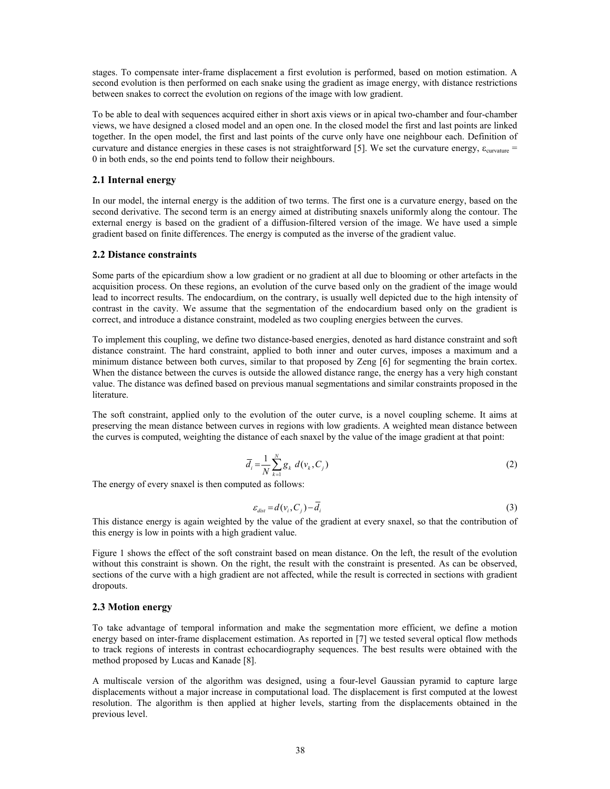stages. To compensate inter-frame displacement a first evolution is performed, based on motion estimation. A second evolution is then performed on each snake using the gradient as image energy, with distance restrictions between snakes to correct the evolution on regions of the image with low gradient.

To be able to deal with sequences acquired either in short axis views or in apical two-chamber and four-chamber views, we have designed a closed model and an open one. In the closed model the first and last points are linked together. In the open model, the first and last points of the curve only have one neighbour each. Definition of curvature and distance energies in these cases is not straightforward [5]. We set the curvature energy,  $\varepsilon_{curvature}$  = 0 in both ends, so the end points tend to follow their neighbours.

### **2.1 Internal energy**

In our model, the internal energy is the addition of two terms. The first one is a curvature energy, based on the second derivative. The second term is an energy aimed at distributing snaxels uniformly along the contour. The external energy is based on the gradient of a diffusion-filtered version of the image. We have used a simple gradient based on finite differences. The energy is computed as the inverse of the gradient value.

#### **2.2 Distance constraints**

Some parts of the epicardium show a low gradient or no gradient at all due to blooming or other artefacts in the acquisition process. On these regions, an evolution of the curve based only on the gradient of the image would lead to incorrect results. The endocardium, on the contrary, is usually well depicted due to the high intensity of contrast in the cavity. We assume that the segmentation of the endocardium based only on the gradient is correct, and introduce a distance constraint, modeled as two coupling energies between the curves.

To implement this coupling, we define two distance-based energies, denoted as hard distance constraint and soft distance constraint. The hard constraint, applied to both inner and outer curves, imposes a maximum and a minimum distance between both curves, similar to that proposed by Zeng [6] for segmenting the brain cortex. When the distance between the curves is outside the allowed distance range, the energy has a very high constant value. The distance was defined based on previous manual segmentations and similar constraints proposed in the literature.

The soft constraint, applied only to the evolution of the outer curve, is a novel coupling scheme. It aims at preserving the mean distance between curves in regions with low gradients. A weighted mean distance between the curves is computed, weighting the distance of each snaxel by the value of the image gradient at that point:

$$
\bar{d}_i = \frac{1}{N} \sum_{k=1}^{N} g_k \ d(v_k, C_j) \tag{2}
$$

The energy of every snaxel is then computed as follows:

$$
\varepsilon_{dist} = d(v_i, C_j) - \overline{d}_i \tag{3}
$$

This distance energy is again weighted by the value of the gradient at every snaxel, so that the contribution of this energy is low in points with a high gradient value.

Figure 1 shows the effect of the soft constraint based on mean distance. On the left, the result of the evolution without this constraint is shown. On the right, the result with the constraint is presented. As can be observed, sections of the curve with a high gradient are not affected, while the result is corrected in sections with gradient dropouts.

## **2.3 Motion energy**

To take advantage of temporal information and make the segmentation more efficient, we define a motion energy based on inter-frame displacement estimation. As reported in [7] we tested several optical flow methods to track regions of interests in contrast echocardiography sequences. The best results were obtained with the method proposed by Lucas and Kanade [8].

A multiscale version of the algorithm was designed, using a four-level Gaussian pyramid to capture large displacements without a major increase in computational load. The displacement is first computed at the lowest resolution. The algorithm is then applied at higher levels, starting from the displacements obtained in the previous level.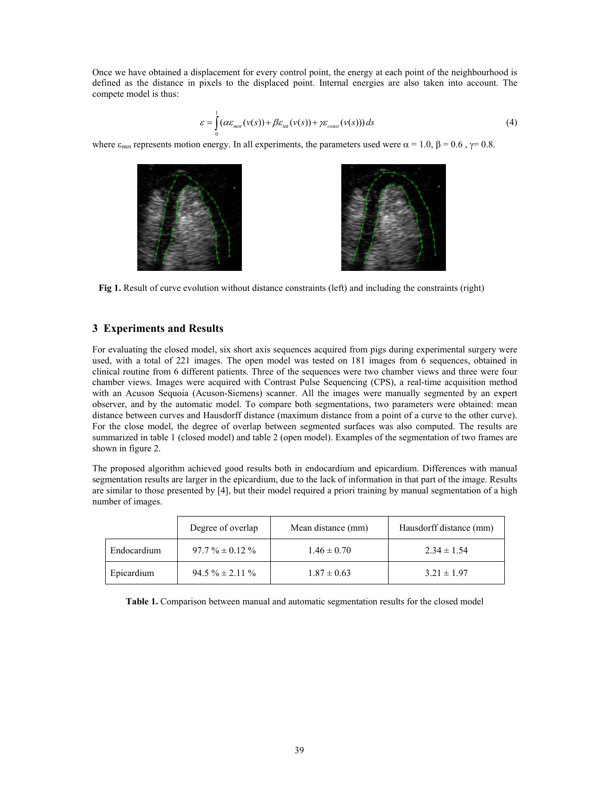Once we have obtained a displacement for every control point, the energy at each point of the neighbourhood is defined as the distance in pixels to the displaced point. Internal energies are also taken into account. The compete model is thus:

$$
\varepsilon = \int_{0}^{1} (\alpha \varepsilon_{\text{mot}}(v(s)) + \beta \varepsilon_{\text{int}}(v(s)) + \gamma \varepsilon_{\text{const}}(v(s))) ds
$$
\n(4)

where  $\varepsilon_{\text{mot}}$  represents motion energy. In all experiments, the parameters used were  $\alpha = 1.0$ ,  $\beta = 0.6$ ,  $\gamma = 0.8$ .



**Fig 1.** Result of curve evolution without distance constraints (left) and including the constraints (right)

# **3 Experiments and Results**

For evaluating the closed model, six short axis sequences acquired from pigs during experimental surgery were used, with a total of 221 images. The open model was tested on 181 images from 6 sequences, obtained in clinical routine from 6 different patients. Three of the sequences were two chamber views and three were four chamber views. Images were acquired with Contrast Pulse Sequencing (CPS), a real-time acquisition method with an Acuson Sequoia (Acuson-Siemens) scanner. All the images were manually segmented by an expert observer, and by the automatic model. To compare both segmentations, two parameters were obtained: mean distance between curves and Hausdorff distance (maximum distance from a point of a curve to the other curve). For the close model, the degree of overlap between segmented surfaces was also computed. The results are summarized in table 1 (closed model) and table 2 (open model). Examples of the segmentation of two frames are shown in figure 2.

The proposed algorithm achieved good results both in endocardium and epicardium. Differences with manual segmentation results are larger in the epicardium, due to the lack of information in that part of the image. Results are similar to those presented by [4], but their model required a priori training by manual segmentation of a high number of images.

|             | Degree of overlap   | Mean distance (mm) | Hausdorff distance (mm) |
|-------------|---------------------|--------------------|-------------------------|
| Endocardium | $97.7\% \pm 0.12\%$ | $1.46 \pm 0.70$    | $2.34 \pm 1.54$         |
| Epicardium  | $94.5\% \pm 2.11\%$ | $1.87 \pm 0.63$    | $3.21 \pm 1.97$         |

**Table 1.** Comparison between manual and automatic segmentation results for the closed model